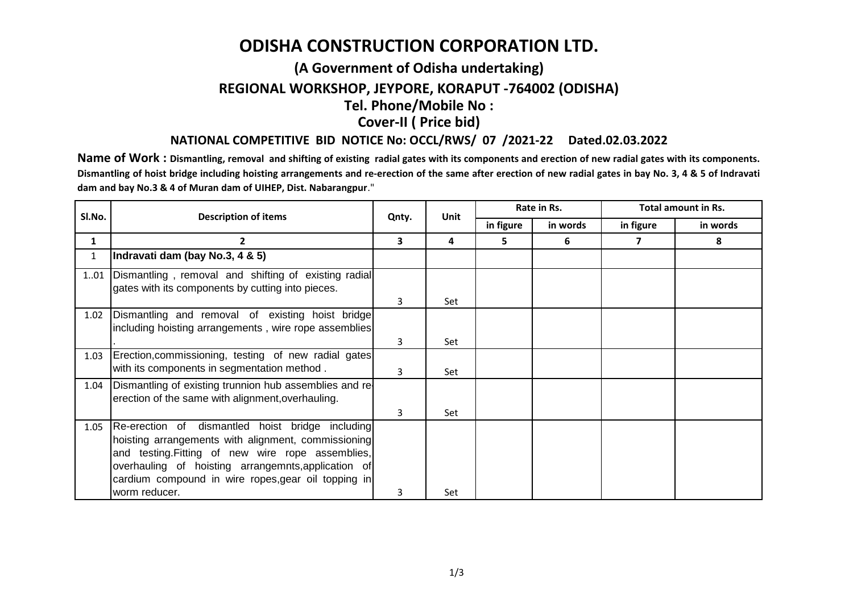## **ODISHA CONSTRUCTION CORPORATION LTD.**

## **(A Government of Odisha undertaking) REGIONAL WORKSHOP, JEYPORE, KORAPUT -764002 (ODISHA) Tel. Phone/Mobile No :**

**Cover-II ( Price bid)**

## **NATIONAL COMPETITIVE BID NOTICE No: OCCL/RWS/ 07 /2021-22 Dated.02.03.2022**

Name of Work: Dismantling, removal and shifting of existing radial gates with its components and erection of new radial gates with its components. Dismantling of hoist bridge including hoisting arrangements and re-erection of the same after erection of new radial gates in bay No. 3, 4 & 5 of Indravati **dam and bay No.3 & 4 of Muran dam of UIHEP, Dist. Nabarangpur**."

| SI.No.       | <b>Description of items</b>                                                                                                                                                                                                                                                | Qnty. | <b>Unit</b> | Rate in Rs. |          | <b>Total amount in Rs.</b> |          |
|--------------|----------------------------------------------------------------------------------------------------------------------------------------------------------------------------------------------------------------------------------------------------------------------------|-------|-------------|-------------|----------|----------------------------|----------|
|              |                                                                                                                                                                                                                                                                            |       |             | in figure   | in words | in figure                  | in words |
| 1            | 2                                                                                                                                                                                                                                                                          | 3     | 4           | 5.          | 6        |                            | 8        |
| $\mathbf{1}$ | Indravati dam (bay No.3, 4 & 5)                                                                                                                                                                                                                                            |       |             |             |          |                            |          |
| 101          | Dismantling, removal and shifting of existing radial<br>gates with its components by cutting into pieces.                                                                                                                                                                  |       |             |             |          |                            |          |
|              |                                                                                                                                                                                                                                                                            | 3     | Set         |             |          |                            |          |
| 1.02         | Dismantling and removal of existing hoist bridge<br>including hoisting arrangements, wire rope assemblies                                                                                                                                                                  |       |             |             |          |                            |          |
|              |                                                                                                                                                                                                                                                                            | 3     | Set         |             |          |                            |          |
| 1.03         | Erection, commissioning, testing of new radial gates<br>with its components in segmentation method.                                                                                                                                                                        | 3     | Set         |             |          |                            |          |
| 1.04         | Dismantling of existing trunnion hub assemblies and re-<br>erection of the same with alignment, overhauling.                                                                                                                                                               |       |             |             |          |                            |          |
|              |                                                                                                                                                                                                                                                                            | 3     | Set         |             |          |                            |          |
| 1.05         | Re-erection of dismantled hoist bridge including<br>hoisting arrangements with alignment, commissioning<br>and testing. Fitting of new wire rope assemblies,<br>overhauling of hoisting arrangemnts, application of<br>cardium compound in wire ropes, gear oil topping in |       |             |             |          |                            |          |
|              | worm reducer.                                                                                                                                                                                                                                                              | 3     | Set         |             |          |                            |          |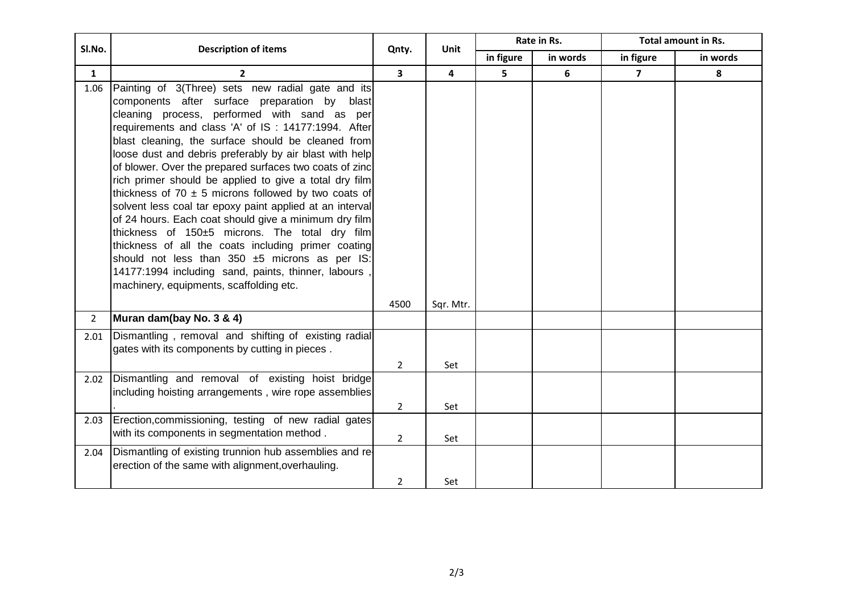| Sl.No.         | <b>Description of items</b>                                                                                                                                                                                                                                                                                                                                                                                                                                                                                                                                                                                                                                                                                                                                                                                                                                                                   | Qnty.                   | <b>Unit</b>    | Rate in Rs. |          | Total amount in Rs. |          |
|----------------|-----------------------------------------------------------------------------------------------------------------------------------------------------------------------------------------------------------------------------------------------------------------------------------------------------------------------------------------------------------------------------------------------------------------------------------------------------------------------------------------------------------------------------------------------------------------------------------------------------------------------------------------------------------------------------------------------------------------------------------------------------------------------------------------------------------------------------------------------------------------------------------------------|-------------------------|----------------|-------------|----------|---------------------|----------|
|                |                                                                                                                                                                                                                                                                                                                                                                                                                                                                                                                                                                                                                                                                                                                                                                                                                                                                                               |                         |                | in figure   | in words | in figure           | in words |
| $\mathbf{1}$   | $\overline{2}$                                                                                                                                                                                                                                                                                                                                                                                                                                                                                                                                                                                                                                                                                                                                                                                                                                                                                | $\overline{\mathbf{3}}$ | $\overline{4}$ | 5           | 6        | $\overline{7}$      | 8        |
| 1.06           | Painting of 3(Three) sets new radial gate and its<br>components after surface preparation by blast<br>cleaning process, performed with sand as per<br>requirements and class 'A' of IS: 14177:1994. After<br>blast cleaning, the surface should be cleaned from<br>loose dust and debris preferably by air blast with help<br>of blower. Over the prepared surfaces two coats of zinc<br>rich primer should be applied to give a total dry film<br>thickness of 70 $\pm$ 5 microns followed by two coats of<br>solvent less coal tar epoxy paint applied at an interval<br>of 24 hours. Each coat should give a minimum dry film<br>thickness of 150±5 microns. The total dry film<br>thickness of all the coats including primer coating<br>should not less than 350 ±5 microns as per IS:<br>14177:1994 including sand, paints, thinner, labours<br>machinery, equipments, scaffolding etc. | 4500                    | Sqr. Mtr.      |             |          |                     |          |
| $\overline{2}$ | Muran dam(bay No. 3 & 4)                                                                                                                                                                                                                                                                                                                                                                                                                                                                                                                                                                                                                                                                                                                                                                                                                                                                      |                         |                |             |          |                     |          |
| 2.01           | Dismantling, removal and shifting of existing radial<br>gates with its components by cutting in pieces.                                                                                                                                                                                                                                                                                                                                                                                                                                                                                                                                                                                                                                                                                                                                                                                       | $\overline{2}$          | Set            |             |          |                     |          |
| 2.02           | Dismantling and removal of existing hoist bridge<br>including hoisting arrangements, wire rope assemblies                                                                                                                                                                                                                                                                                                                                                                                                                                                                                                                                                                                                                                                                                                                                                                                     | $\overline{2}$          | Set            |             |          |                     |          |
| 2.03           | Erection, commissioning, testing of new radial gates<br>with its components in segmentation method.                                                                                                                                                                                                                                                                                                                                                                                                                                                                                                                                                                                                                                                                                                                                                                                           | $\overline{2}$          | Set            |             |          |                     |          |
| 2.04           | Dismantling of existing trunnion hub assemblies and re-<br>erection of the same with alignment, overhauling.                                                                                                                                                                                                                                                                                                                                                                                                                                                                                                                                                                                                                                                                                                                                                                                  | $\overline{2}$          | Set            |             |          |                     |          |